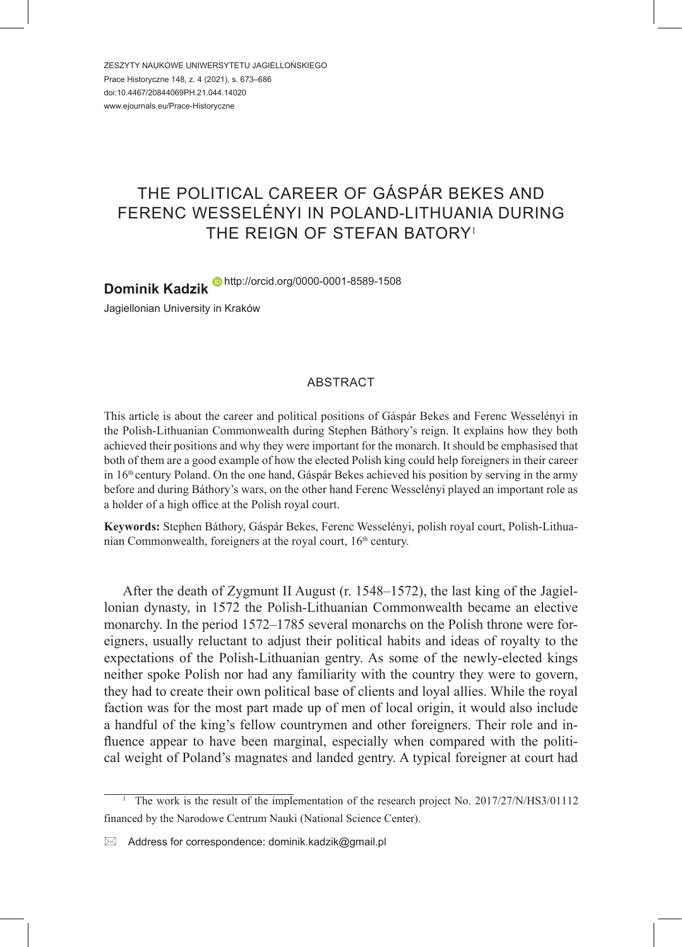ZESZYTY NAUKOWE UNIWERSYTETU JAGIELLOŃSKIEGO Prace Historyczne 148, z. 4 (2021), s. 673–686 doi:10.4467/20844069PH.21.044.14020 www.ejournals.eu/Prace-Historyczne

# THE POLITICAL CAREER OF GÁSPÁR BEKES AND FERENC WESSELÉNYI IN POLAND-LITHUANIA DURING THE REIGN OF STEFAN BATORY<sup>1</sup>

**Dominik Kadzik** http://orcid.org/0000-0001-8589-1508 Jagiellonian University in Kraków

### ABSTRACT

This article is about the career and political positions of Gáspár Bekes and Ferenc Wesselényi in the Polish-Lithuanian Commonwealth during Stephen Báthory's reign. It explains how they both achieved their positions and why they were important for the monarch. It should be emphasised that both of them are a good example of how the elected Polish king could help foreigners in their career in  $16<sup>th</sup>$  century Poland. On the one hand, Gáspár Bekes achieved his position by serving in the army before and during Báthory's wars, on the other hand Ferenc Wesselényi played an important role as a holder of a high office at the Polish royal court.

**Keywords:** Stephen Báthory, Gáspár Bekes, Ferenc Wesselényi, polish royal court, Polish-Lithuanian Commonwealth, foreigners at the royal court,  $16<sup>th</sup>$  century.

After the death of Zygmunt II August (r. 1548–1572), the last king of the Jagiellonian dynasty, in 1572 the Polish-Lithuanian Commonwealth became an elective monarchy. In the period 1572–1785 several monarchs on the Polish throne were foreigners, usually reluctant to adjust their political habits and ideas of royalty to the expectations of the Polish-Lithuanian gentry. As some of the newly-elected kings neither spoke Polish nor had any familiarity with the country they were to govern, they had to create their own political base of clients and loyal allies. While the royal faction was for the most part made up of men of local origin, it would also include a handful of the king's fellow countrymen and other foreigners. Their role and influence appear to have been marginal, especially when compared with the political weight of Poland's magnates and landed gentry. A typical foreigner at court had

 $\boxtimes$  Address for correspondence: dominik.kadzik@gmail.pl

<sup>1</sup> The work is the result of the implementation of the research project No. 2017/27/N/HS3/01112 financed by the Narodowe Centrum Nauki (National Science Center).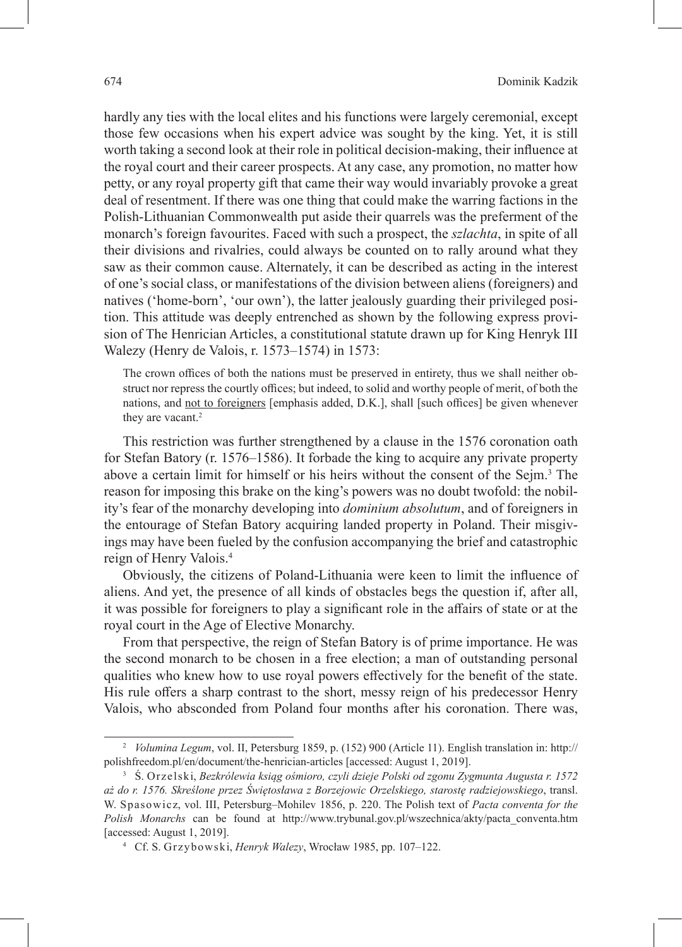hardly any ties with the local elites and his functions were largely ceremonial, except those few occasions when his expert advice was sought by the king. Yet, it is still worth taking a second look at their role in political decision-making, their influence at the royal court and their career prospects. At any case, any promotion, no matter how petty, or any royal property gift that came their way would invariably provoke a great deal of resentment. If there was one thing that could make the warring factions in the Polish-Lithuanian Commonwealth put aside their quarrels was the preferment of the monarch's foreign favourites. Faced with such a prospect, the *szlachta*, in spite of all their divisions and rivalries, could always be counted on to rally around what they saw as their common cause. Alternately, it can be described as acting in the interest of one's social class, or manifestations of the division between aliens (foreigners) and natives ('home-born', 'our own'), the latter jealously guarding their privileged position. This attitude was deeply entrenched as shown by the following express provision of The Henrician Articles, a constitutional statute drawn up for King Henryk III Walezy (Henry de Valois, r. 1573–1574) in 1573:

The crown offices of both the nations must be preserved in entirety, thus we shall neither obstruct nor repress the courtly offices; but indeed, to solid and worthy people of merit, of both the nations, and not to foreigners [emphasis added, D.K.], shall [such offices] be given whenever they are vacant.<sup>2</sup>

This restriction was further strengthened by a clause in the 1576 coronation oath for Stefan Batory (r. 1576–1586). It forbade the king to acquire any private property above a certain limit for himself or his heirs without the consent of the Sejm.<sup>3</sup> The reason for imposing this brake on the king's powers was no doubt twofold: the nobility's fear of the monarchy developing into *dominium absolutum*, and of foreigners in the entourage of Stefan Batory acquiring landed property in Poland. Their misgivings may have been fueled by the confusion accompanying the brief and catastrophic reign of Henry Valois.4

Obviously, the citizens of Poland-Lithuania were keen to limit the influence of aliens. And yet, the presence of all kinds of obstacles begs the question if, after all, it was possible for foreigners to play a significant role in the affairs of state or at the royal court in the Age of Elective Monarchy.

From that perspective, the reign of Stefan Batory is of prime importance. He was the second monarch to be chosen in a free election; a man of outstanding personal qualities who knew how to use royal powers effectively for the benefit of the state. His rule offers a sharp contrast to the short, messy reign of his predecessor Henry Valois, who absconded from Poland four months after his coronation. There was,

<sup>&</sup>lt;sup>2</sup> *Volumina Legum*, vol. II, Petersburg 1859, p. (152) 900 (Article 11). English translation in: http:// polishfreedom.pl/en/document/the-henrician-articles [accessed: August 1, 2019].

<sup>3</sup> Ś. Orzelski, *Bezkrólewia ksiąg ośmioro, czyli dzieje Polski od zgonu Zygmunta Augusta r. 1572 aż do r. 1576. Skreślone przez Świętosława z Borzejowic Orzelskiego, starostę radziejowskiego*, transl. W. Spasowicz, vol. III, Petersburg–Mohilev 1856, p. 220. The Polish text of *Pacta conventa for the Polish Monarchs* can be found at http://www.trybunal.gov.pl/wszechnica/akty/pacta\_conventa.htm [accessed: August 1, 2019].

<sup>4</sup> Cf. S. Grzybowski, *Henryk Walezy*, Wrocław 1985, pp. 107–122.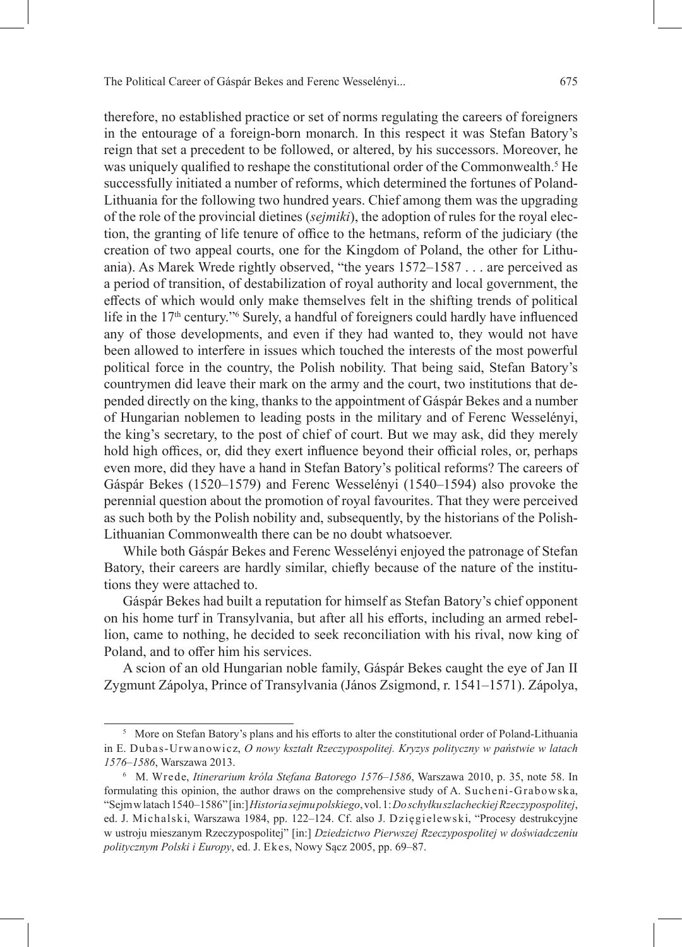therefore, no established practice or set of norms regulating the careers of foreigners in the entourage of a foreign-born monarch. In this respect it was Stefan Batory's reign that set a precedent to be followed, or altered, by his successors. Moreover, he was uniquely qualified to reshape the constitutional order of the Commonwealth.<sup>5</sup> He successfully initiated a number of reforms, which determined the fortunes of Poland-Lithuania for the following two hundred years. Chief among them was the upgrading of the role of the provincial dietines (*sejmiki*), the adoption of rules for the royal election, the granting of life tenure of office to the hetmans, reform of the judiciary (the creation of two appeal courts, one for the Kingdom of Poland, the other for Lithuania). As Marek Wrede rightly observed, "the years 1572–1587 . . . are perceived as a period of transition, of destabilization of royal authority and local government, the effects of which would only make themselves felt in the shifting trends of political life in the 17<sup>th</sup> century."<sup>6</sup> Surely, a handful of foreigners could hardly have influenced any of those developments, and even if they had wanted to, they would not have been allowed to interfere in issues which touched the interests of the most powerful political force in the country, the Polish nobility. That being said, Stefan Batory's countrymen did leave their mark on the army and the court, two institutions that depended directly on the king, thanks to the appointment of Gáspár Bekes and a number of Hungarian noblemen to leading posts in the military and of Ferenc Wesselényi, the king's secretary, to the post of chief of court. But we may ask, did they merely hold high offices, or, did they exert influence beyond their official roles, or, perhaps even more, did they have a hand in Stefan Batory's political reforms? The careers of Gáspár Bekes (1520–1579) and Ferenc Wesselényi (1540–1594) also provoke the perennial question about the promotion of royal favourites. That they were perceived as such both by the Polish nobility and, subsequently, by the historians of the Polish-Lithuanian Commonwealth there can be no doubt whatsoever.

While both Gáspár Bekes and Ferenc Wesselényi enjoyed the patronage of Stefan Batory, their careers are hardly similar, chiefly because of the nature of the institutions they were attached to.

Gáspár Bekes had built a reputation for himself as Stefan Batory's chief opponent on his home turf in Transylvania, but after all his efforts, including an armed rebellion, came to nothing, he decided to seek reconciliation with his rival, now king of Poland, and to offer him his services.

A scion of an old Hungarian noble family, Gáspár Bekes caught the eye of Jan II Zygmunt Zápolya, Prince of Transylvania (János Zsigmond, r. 1541–1571). Zápolya,

<sup>&</sup>lt;sup>5</sup> More on Stefan Batory's plans and his efforts to alter the constitutional order of Poland-Lithuania in E. Dubas-Urwanowicz, *O nowy kształt Rzeczypospolitej. Kryzys polityczny w państwie w latach 1576–1586*, Warszawa 2013.

<sup>6</sup> M. Wrede, *Itinerarium króla Stefana Batorego 1576–1586*, Warszawa 2010, p. 35, note 58. In formulating this opinion, the author draws on the comprehensive study of A. Sucheni-Grabowska, "Sejm w latach 1540–1586" [in:] *Historia sejmu polskiego*, vol. 1: *Do schyłku szlacheckiej Rzeczypospolitej*, ed. J. Michalski, Warszawa 1984, pp. 122–124. Cf. also J. Dzięgielewski, "Procesy destrukcyjne w ustroju mieszanym Rzeczypospolitej" [in:] *Dziedzictwo Pierwszej Rzeczypospolitej w doświadczeniu politycznym Polski i Europy*, ed. J. Ekes, Nowy Sącz 2005, pp. 69–87.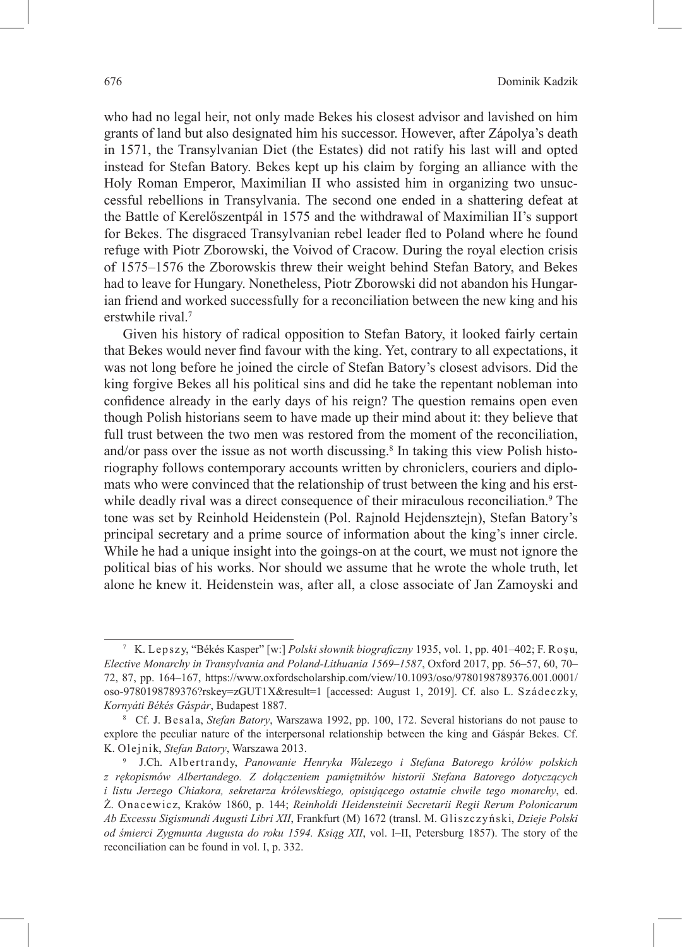who had no legal heir, not only made Bekes his closest advisor and lavished on him grants of land but also designated him his successor. However, after Zápolya's death in 1571, the Transylvanian Diet (the Estates) did not ratify his last will and opted instead for Stefan Batory. Bekes kept up his claim by forging an alliance with the Holy Roman Emperor, Maximilian II who assisted him in organizing two unsuccessful rebellions in Transylvania. The second one ended in a shattering defeat at the Battle of Kerelőszentpál in 1575 and the withdrawal of Maximilian II's support for Bekes. The disgraced Transylvanian rebel leader fled to Poland where he found refuge with Piotr Zborowski, the Voivod of Cracow. During the royal election crisis of 1575–1576 the Zborowskis threw their weight behind Stefan Batory, and Bekes had to leave for Hungary. Nonetheless, Piotr Zborowski did not abandon his Hungarian friend and worked successfully for a reconciliation between the new king and his erstwhile rival.<sup>7</sup>

Given his history of radical opposition to Stefan Batory, it looked fairly certain that Bekes would never find favour with the king. Yet, contrary to all expectations, it was not long before he joined the circle of Stefan Batory's closest advisors. Did the king forgive Bekes all his political sins and did he take the repentant nobleman into confidence already in the early days of his reign? The question remains open even though Polish historians seem to have made up their mind about it: they believe that full trust between the two men was restored from the moment of the reconciliation, and/or pass over the issue as not worth discussing.<sup>8</sup> In taking this view Polish historiography follows contemporary accounts written by chroniclers, couriers and diplomats who were convinced that the relationship of trust between the king and his erstwhile deadly rival was a direct consequence of their miraculous reconciliation.<sup>9</sup> The tone was set by Reinhold Heidenstein (Pol. Rajnold Hejdensztejn), Stefan Batory's principal secretary and a prime source of information about the king's inner circle. While he had a unique insight into the goings-on at the court, we must not ignore the political bias of his works. Nor should we assume that he wrote the whole truth, let alone he knew it. Heidenstein was, after all, a close associate of Jan Zamoyski and

<sup>7</sup> K. Lepszy, "Békés Kasper" [w:] *Polski słownik biograficzny* 1935, vol. 1, pp. 401–402; F. Roşu, *Elective Monarchy in Transylvania and Poland-Lithuania 1569–1587*, Oxford 2017, pp. 56–57, 60, 70– 72, 87, pp. 164–167, https://www.oxfordscholarship.com/view/10.1093/oso/9780198789376.001.0001/ oso-9780198789376?rskey=zGUT1X&result=1 [accessed: August 1, 2019]. Cf. also L. Szádeczky, *Kornyáti Békés Gáspár*, Budapest 1887.

<sup>8</sup> Cf. J. Besala, *Stefan Batory*, Warszawa 1992, pp. 100, 172. Several historians do not pause to explore the peculiar nature of the interpersonal relationship between the king and Gáspár Bekes. Cf. K. Olejnik, *Stefan Batory*, Warszawa 2013.

<sup>9</sup> J.Ch. Albertrandy, *Panowanie Henryka Walezego i Stefana Batorego królów polskich z rękopismów Albertandego. Z dołączeniem pamiętników historii Stefana Batorego dotyczących i listu Jerzego Chiakora, sekretarza królewskiego, opisującego ostatnie chwile tego monarchy*, ed. Ż. Onacewicz, Kraków 1860, p. 144; *Reinholdi Heidensteinii Secretarii Regii Rerum Polonicarum Ab Excessu Sigismundi Augusti Libri XII*, Frankfurt (M) 1672 (transl. M. Gliszczyński, *Dzieje Polski od śmierci Zygmunta Augusta do roku 1594. Ksiąg XII*, vol. I–II, Petersburg 1857). The story of the reconciliation can be found in vol. I, p. 332.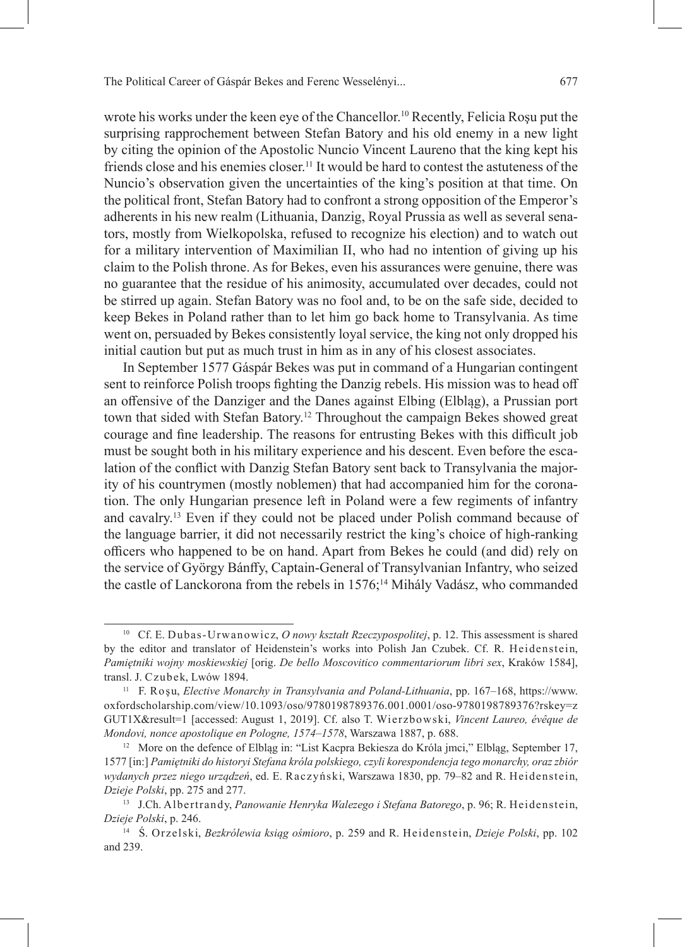wrote his works under the keen eye of the Chancellor.<sup>10</sup> Recently, Felicia Roşu put the surprising rapprochement between Stefan Batory and his old enemy in a new light by citing the opinion of the Apostolic Nuncio Vincent Laureno that the king kept his friends close and his enemies closer.11 It would be hard to contest the astuteness of the Nuncio's observation given the uncertainties of the king's position at that time. On the political front, Stefan Batory had to confront a strong opposition of the Emperor's adherents in his new realm (Lithuania, Danzig, Royal Prussia as well as several senators, mostly from Wielkopolska, refused to recognize his election) and to watch out for a military intervention of Maximilian II, who had no intention of giving up his claim to the Polish throne. As for Bekes, even his assurances were genuine, there was no guarantee that the residue of his animosity, accumulated over decades, could not be stirred up again. Stefan Batory was no fool and, to be on the safe side, decided to keep Bekes in Poland rather than to let him go back home to Transylvania. As time went on, persuaded by Bekes consistently loyal service, the king not only dropped his initial caution but put as much trust in him as in any of his closest associates.

In September 1577 Gáspár Bekes was put in command of a Hungarian contingent sent to reinforce Polish troops fighting the Danzig rebels. His mission was to head off an offensive of the Danziger and the Danes against Elbing (Elbląg), a Prussian port town that sided with Stefan Batory.<sup>12</sup> Throughout the campaign Bekes showed great courage and fine leadership. The reasons for entrusting Bekes with this difficult job must be sought both in his military experience and his descent. Even before the escalation of the conflict with Danzig Stefan Batory sent back to Transylvania the majority of his countrymen (mostly noblemen) that had accompanied him for the coronation. The only Hungarian presence left in Poland were a few regiments of infantry and cavalry.<sup>13</sup> Even if they could not be placed under Polish command because of the language barrier, it did not necessarily restrict the king's choice of high-ranking officers who happened to be on hand. Apart from Bekes he could (and did) rely on the service of György Bánffy, Captain-General of Transylvanian Infantry, who seized the castle of Lanckorona from the rebels in 1576;<sup>14</sup> Mihály Vadász, who commanded

<sup>10</sup> Cf. E. Dubas-Urwanowicz, *O nowy kształt Rzeczypospolitej*, p. 12. This assessment is shared by the editor and translator of Heidenstein's works into Polish Jan Czubek. Cf. R. Heidenstein, *Pamiętniki wojny moskiewskiej* [orig. *De bello Moscovitico commentariorum libri sex*, Kraków 1584], transl. J. Czubek, Lwów 1894.

<sup>11</sup> F. Roşu, *Elective Monarchy in Transylvania and Poland-Lithuania*, pp. 167–168, https://www. oxfordscholarship.com/view/10.1093/oso/9780198789376.001.0001/oso-9780198789376?rskey=z GUT1X&result=1 [accessed: August 1, 2019]. Cf. also T. Wierzbowski, *Vincent Laureo, évêque de Mondovi, nonce apostolique en Pologne, 1574–1578*, Warszawa 1887, p. 688.

<sup>&</sup>lt;sup>12</sup> More on the defence of Elblag in: "List Kacpra Bekiesza do Króla jmci," Elblag, September 17, 1577 [in:] *Pamiętniki do historyi Stefana króla polskiego, czyli korespondencja tego monarchy, oraz zbiór wydanych przez niego urządzeń*, ed. E. Raczyński, Warszawa 1830, pp. 79–82 and R. Heidenstein, *Dzieje Polski*, pp. 275 and 277.

<sup>13</sup> J.Ch. Albertrandy, *Panowanie Henryka Walezego i Stefana Batorego*, p. 96; R. Heidenstein, *Dzieje Polski*, p. 246.

<sup>14</sup> Ś. Orzelski, *Bezkrólewia ksiąg ośmioro*, p. 259 and R. Heidenstein, *Dzieje Polski*, pp. 102 and 239.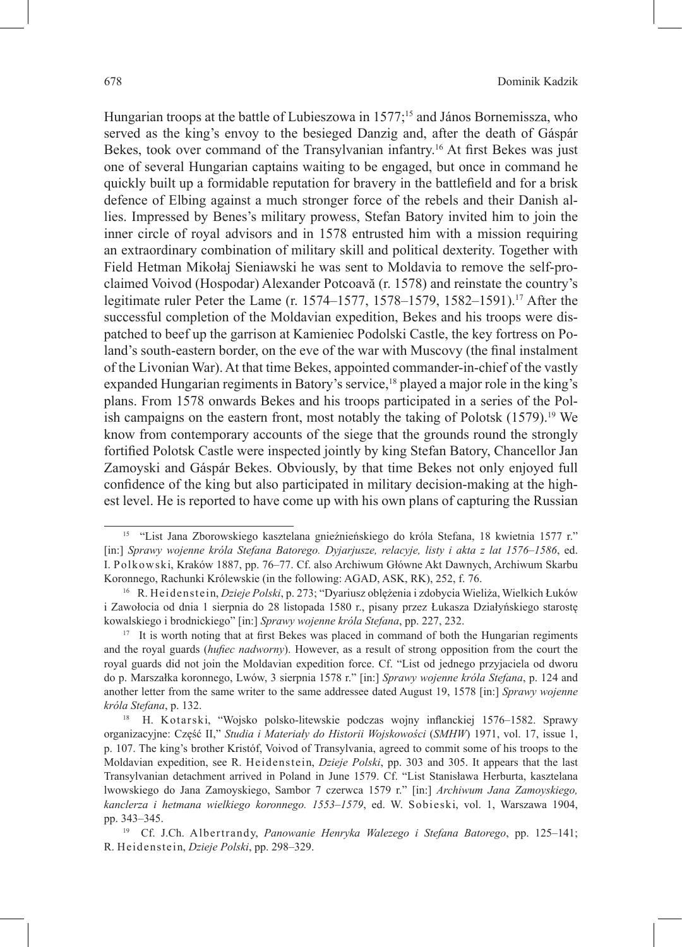Hungarian troops at the battle of Lubieszowa in 1577;<sup>15</sup> and János Bornemissza, who served as the king's envoy to the besieged Danzig and, after the death of Gáspár Bekes, took over command of the Transylvanian infantry.16 At first Bekes was just one of several Hungarian captains waiting to be engaged, but once in command he quickly built up a formidable reputation for bravery in the battlefield and for a brisk defence of Elbing against a much stronger force of the rebels and their Danish allies. Impressed by Benes's military prowess, Stefan Batory invited him to join the inner circle of royal advisors and in 1578 entrusted him with a mission requiring an extraordinary combination of military skill and political dexterity. Together with Field Hetman Mikołaj Sieniawski he was sent to Moldavia to remove the self-proclaimed Voivod (Hospodar) Alexander Potcoavă (r. 1578) and reinstate the country's legitimate ruler Peter the Lame (r. 1574–1577, 1578–1579, 1582–1591).17 After the successful completion of the Moldavian expedition, Bekes and his troops were dispatched to beef up the garrison at Kamieniec Podolski Castle, the key fortress on Poland's south-eastern border, on the eve of the war with Muscovy (the final instalment of the Livonian War). At that time Bekes, appointed commander-in-chief of the vastly expanded Hungarian regiments in Batory's service,<sup>18</sup> played a major role in the king's plans. From 1578 onwards Bekes and his troops participated in a series of the Polish campaigns on the eastern front, most notably the taking of Polotsk  $(1579)^{19}$  We know from contemporary accounts of the siege that the grounds round the strongly fortified Polotsk Castle were inspected jointly by king Stefan Batory, Chancellor Jan Zamoyski and Gáspár Bekes. Obviously, by that time Bekes not only enjoyed full confidence of the king but also participated in military decision-making at the highest level. He is reported to have come up with his own plans of capturing the Russian

<sup>15 &</sup>quot;List Jana Zborowskiego kasztelana gnieźnieńskiego do króla Stefana, 18 kwietnia 1577 r." [in:] *Sprawy wojenne króla Stefana Batorego. Dyjarjusze, relacyje, listy i akta z lat 1576–1586*, ed. I. Polkowski, Kraków 1887, pp. 76–77. Cf. also Archiwum Główne Akt Dawnych, Archiwum Skarbu Koronnego, Rachunki Królewskie (in the following: AGAD, ASK, RK), 252, f. 76.

<sup>16</sup> R. Heidenstein, *Dzieje Polski*, p. 273; "Dyariusz oblężenia i zdobycia Wieliża, Wielkich Łuków i Zawołocia od dnia 1 sierpnia do 28 listopada 1580 r., pisany przez Łukasza Działyńskiego starostę kowalskiego i brodnickiego" [in:] *Sprawy wojenne króla Stefana*, pp. 227, 232.

<sup>&</sup>lt;sup>17</sup> It is worth noting that at first Bekes was placed in command of both the Hungarian regiments and the royal guards (*hufiec nadworny*). However, as a result of strong opposition from the court the royal guards did not join the Moldavian expedition force. Cf. "List od jednego przyjaciela od dworu do p. Marszałka koronnego, Lwów, 3 sierpnia 1578 r." [in:] *Sprawy wojenne króla Stefana*, p. 124 and another letter from the same writer to the same addressee dated August 19, 1578 [in:] *Sprawy wojenne króla Stefana*, p. 132.

<sup>18</sup> H. Kotarski, "Wojsko polsko-litewskie podczas wojny inflanckiej 1576–1582. Sprawy organizacyjne: Część II," *Studia i Materiały do Historii Wojskowości* (*SMHW*) 1971, vol. 17, issue 1, p. 107. The king's brother Kristóf, Voivod of Transylvania, agreed to commit some of his troops to the Moldavian expedition, see R. Heidenstein, *Dzieje Polski*, pp. 303 and 305. It appears that the last Transylvanian detachment arrived in Poland in June 1579. Cf. "List Stanisława Herburta, kasztelana lwowskiego do Jana Zamoyskiego, Sambor 7 czerwca 1579 r." [in:] *Archiwum Jana Zamoyskiego, kanclerza i hetmana wielkiego koronnego. 1553–1579*, ed. W. Sobieski, vol. 1, Warszawa 1904, pp. 343–345.

<sup>19</sup> Cf. J.Ch. Albertrandy, *Panowanie Henryka Walezego i Stefana Batorego*, pp. 125–141; R. Heidenstein, *Dzieje Polski*, pp. 298–329.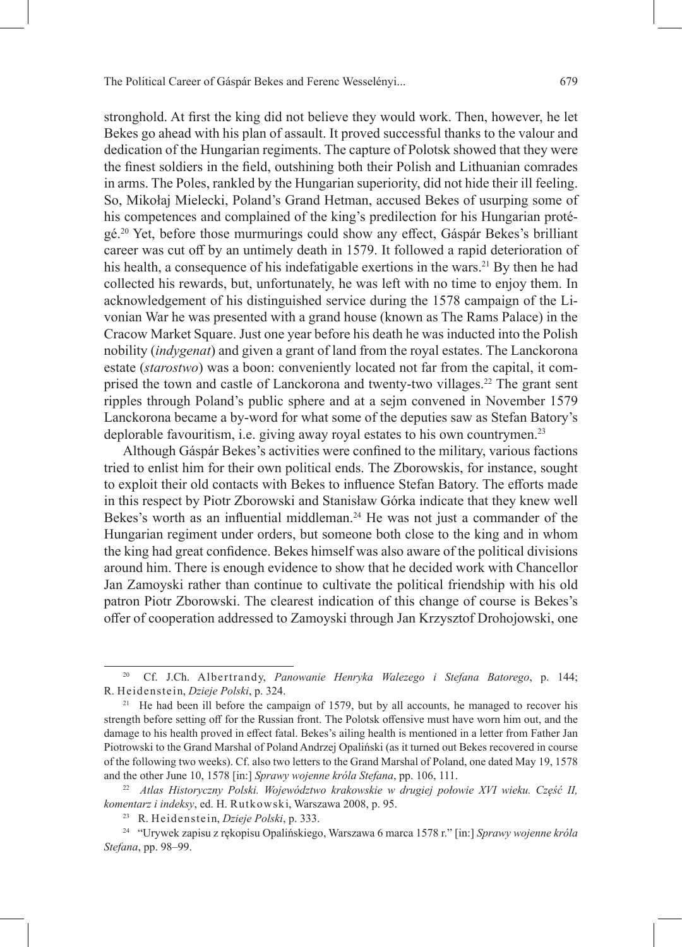stronghold. At first the king did not believe they would work. Then, however, he let Bekes go ahead with his plan of assault. It proved successful thanks to the valour and dedication of the Hungarian regiments. The capture of Polotsk showed that they were the finest soldiers in the field, outshining both their Polish and Lithuanian comrades in arms. The Poles, rankled by the Hungarian superiority, did not hide their ill feeling. So, Mikołaj Mielecki, Poland's Grand Hetman, accused Bekes of usurping some of his competences and complained of the king's predilection for his Hungarian protégé.<sup>20</sup> Yet, before those murmurings could show any effect, Gáspár Bekes's brilliant career was cut off by an untimely death in 1579. It followed a rapid deterioration of his health, a consequence of his indefatigable exertions in the wars.<sup>21</sup> By then he had collected his rewards, but, unfortunately, he was left with no time to enjoy them. In acknowledgement of his distinguished service during the 1578 campaign of the Livonian War he was presented with a grand house (known as The Rams Palace) in the Cracow Market Square. Just one year before his death he was inducted into the Polish nobility (*indygenat*) and given a grant of land from the royal estates. The Lanckorona estate (*starostwo*) was a boon: conveniently located not far from the capital, it comprised the town and castle of Lanckorona and twenty-two villages.22 The grant sent ripples through Poland's public sphere and at a sejm convened in November 1579 Lanckorona became a by-word for what some of the deputies saw as Stefan Batory's deplorable favouritism, i.e. giving away royal estates to his own countrymen.<sup>23</sup>

Although Gáspár Bekes's activities were confined to the military, various factions tried to enlist him for their own political ends. The Zborowskis, for instance, sought to exploit their old contacts with Bekes to influence Stefan Batory. The efforts made in this respect by Piotr Zborowski and Stanisław Górka indicate that they knew well Bekes's worth as an influential middleman. $24$  He was not just a commander of the Hungarian regiment under orders, but someone both close to the king and in whom the king had great confidence. Bekes himself was also aware of the political divisions around him. There is enough evidence to show that he decided work with Chancellor Jan Zamoyski rather than continue to cultivate the political friendship with his old patron Piotr Zborowski. The clearest indication of this change of course is Bekes's offer of cooperation addressed to Zamoyski through Jan Krzysztof Drohojowski, one

<sup>20</sup> Cf. J.Ch. Albertrandy, *Panowanie Henryka Walezego i Stefana Batorego*, p. 144; R. Heidenstein, *Dzieje Polski*, p. 324.

<sup>&</sup>lt;sup>21</sup> He had been ill before the campaign of 1579, but by all accounts, he managed to recover his strength before setting off for the Russian front. The Polotsk offensive must have worn him out, and the damage to his health proved in effect fatal. Bekes's ailing health is mentioned in a letter from Father Jan Piotrowski to the Grand Marshal of Poland Andrzej Opaliński (as it turned out Bekes recovered in course of the following two weeks). Cf. also two letters to the Grand Marshal of Poland, one dated May 19, 1578 and the other June 10, 1578 [in:] *Sprawy wojenne króla Stefana*, pp. 106, 111.

<sup>22</sup> *Atlas Historyczny Polski. Województwo krakowskie w drugiej połowie XVI wieku. Część II, komentarz i indeksy*, ed. H. Rutkowski, Warszawa 2008, p. 95.

<sup>23</sup> R. Heidenstein, *Dzieje Polski*, p. 333.

<sup>24</sup> "Urywek zapisu z rękopisu Opalińskiego, Warszawa 6 marca 1578 r." [in:] *Sprawy wojenne króla Stefana*, pp. 98–99.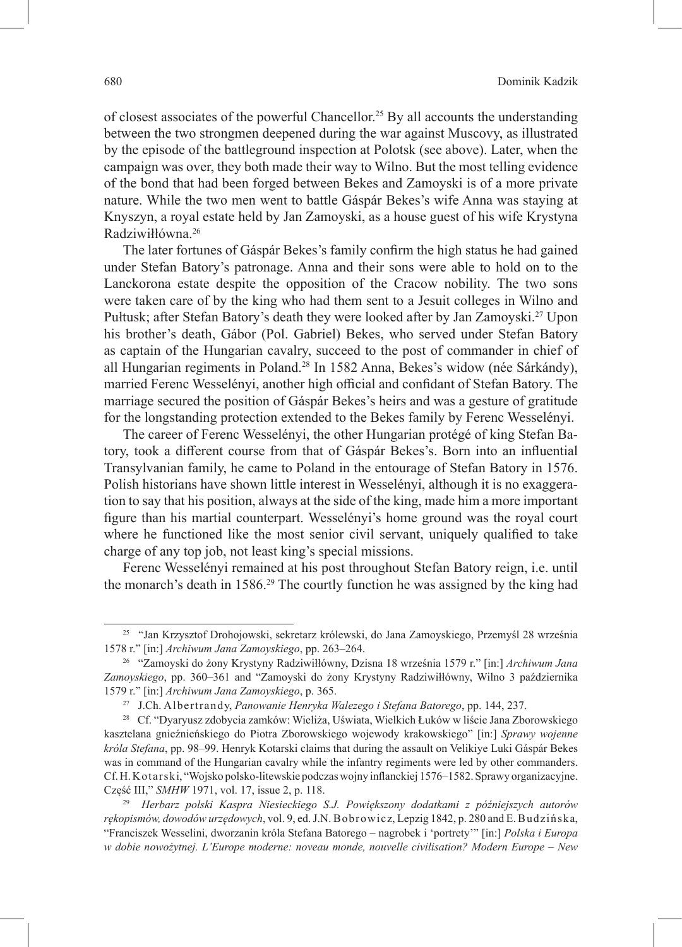of closest associates of the powerful Chancellor.25 By all accounts the understanding between the two strongmen deepened during the war against Muscovy, as illustrated by the episode of the battleground inspection at Polotsk (see above). Later, when the campaign was over, they both made their way to Wilno. But the most telling evidence of the bond that had been forged between Bekes and Zamoyski is of a more private nature. While the two men went to battle Gáspár Bekes's wife Anna was staying at Knyszyn, a royal estate held by Jan Zamoyski, as a house guest of his wife Krystyna Radziwiłłówna.26

The later fortunes of Gáspár Bekes's family confirm the high status he had gained under Stefan Batory's patronage. Anna and their sons were able to hold on to the Lanckorona estate despite the opposition of the Cracow nobility. The two sons were taken care of by the king who had them sent to a Jesuit colleges in Wilno and Pułtusk; after Stefan Batory's death they were looked after by Jan Zamoyski.27 Upon his brother's death, Gábor (Pol. Gabriel) Bekes, who served under Stefan Batory as captain of the Hungarian cavalry, succeed to the post of commander in chief of all Hungarian regiments in Poland.<sup>28</sup> In 1582 Anna, Bekes's widow (née Sárkándy), married Ferenc Wesselényi, another high official and confidant of Stefan Batory. The marriage secured the position of Gáspár Bekes's heirs and was a gesture of gratitude for the longstanding protection extended to the Bekes family by Ferenc Wesselényi.

The career of Ferenc Wesselényi, the other Hungarian protégé of king Stefan Batory, took a different course from that of Gáspár Bekes's. Born into an influential Transylvanian family, he came to Poland in the entourage of Stefan Batory in 1576. Polish historians have shown little interest in Wesselényi, although it is no exaggeration to say that his position, always at the side of the king, made him a more important figure than his martial counterpart. Wesselényi's home ground was the royal court where he functioned like the most senior civil servant, uniquely qualified to take charge of any top job, not least king's special missions.

Ferenc Wesselényi remained at his post throughout Stefan Batory reign, i.e. until the monarch's death in 1586.29 The courtly function he was assigned by the king had

<sup>25 &</sup>quot;Jan Krzysztof Drohojowski, sekretarz królewski, do Jana Zamoyskiego, Przemyśl 28 września 1578 r." [in:] *Archiwum Jana Zamoyskiego*, pp. 263–264.

<sup>26 &</sup>quot;Zamoyski do żony Krystyny Radziwiłłówny, Dzisna 18 września 1579 r." [in:] *Archiwum Jana Zamoyskiego*, pp. 360–361 and "Zamoyski do żony Krystyny Radziwiłłówny, Wilno 3 października 1579 r." [in:] *Archiwum Jana Zamoyskiego*, p. 365.

<sup>27</sup> J.Ch. Albertrandy, *Panowanie Henryka Walezego i Stefana Batorego*, pp. 144, 237.

<sup>28</sup> Cf. "Dyaryusz zdobycia zamków: Wieliża, Uświata, Wielkich Łuków w liście Jana Zborowskiego kasztelana gnieźnieńskiego do Piotra Zborowskiego wojewody krakowskiego" [in:] *Sprawy wojenne króla Stefana*, pp. 98–99. Henryk Kotarski claims that during the assault on Velikiye Luki Gáspár Bekes was in command of the Hungarian cavalry while the infantry regiments were led by other commanders. Cf.H.Kotarski, "Wojsko polsko-litewskie podczas wojny inflanckiej 1576–1582. Sprawy organizacyjne. Część III," *SMHW* 1971, vol. 17, issue 2, p. 118.

<sup>29</sup> *Herbarz polski Kaspra Niesieckiego S.J. Powiększony dodatkami z późniejszych autorów rękopismów, dowodów urzędowych*, vol. 9, ed. J.N. Bobrowicz, Lepzig 1842, p. 280 and E. Budzińska, "Franciszek Wesselini, dworzanin króla Stefana Batorego – nagrobek i 'portrety'" [in:] *Polska i Europa w dobie nowożytnej. L'Europe moderne: noveau monde, nouvelle civilisation? Modern Europe – New*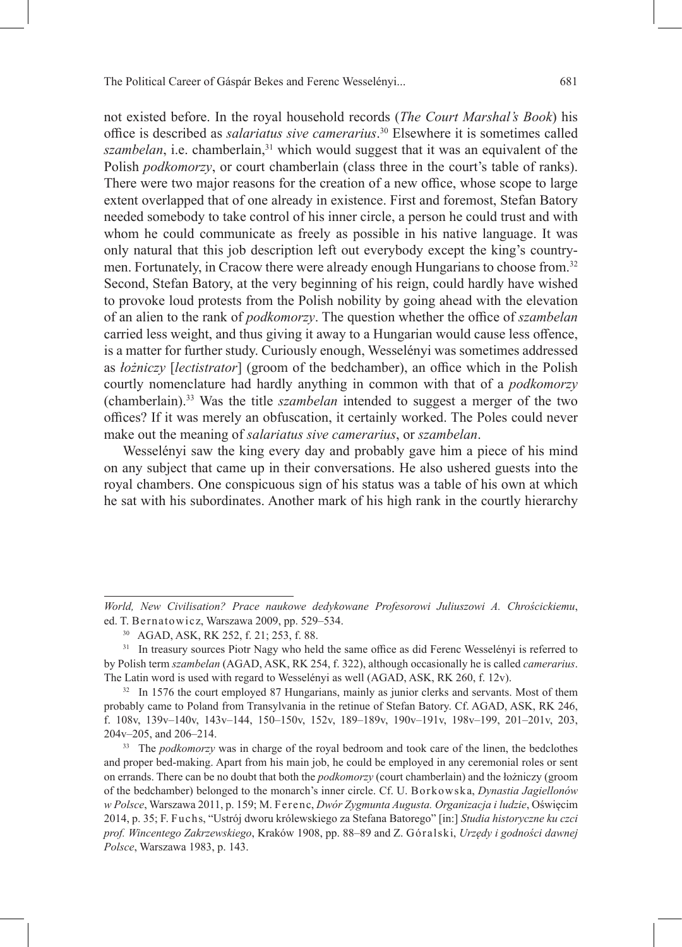not existed before. In the royal household records (*The Court Marshal's Book*) his office is described as *salariatus sive camerarius*. <sup>30</sup> Elsewhere it is sometimes called *szambelan*, i.e. chamberlain,<sup>31</sup> which would suggest that it was an equivalent of the Polish *podkomorzy*, or court chamberlain (class three in the court's table of ranks). There were two major reasons for the creation of a new office, whose scope to large extent overlapped that of one already in existence. First and foremost, Stefan Batory needed somebody to take control of his inner circle, a person he could trust and with whom he could communicate as freely as possible in his native language. It was only natural that this job description left out everybody except the king's countrymen. Fortunately, in Cracow there were already enough Hungarians to choose from.<sup>32</sup> Second, Stefan Batory, at the very beginning of his reign, could hardly have wished to provoke loud protests from the Polish nobility by going ahead with the elevation of an alien to the rank of *podkomorzy*. The question whether the office of *szambelan* carried less weight, and thus giving it away to a Hungarian would cause less offence, is a matter for further study. Curiously enough, Wesselényi was sometimes addressed as *łożniczy* [*lectistrator*] (groom of the bedchamber), an office which in the Polish courtly nomenclature had hardly anything in common with that of a *podkomorzy* (chamberlain).33 Was the title *szambelan* intended to suggest a merger of the two offices? If it was merely an obfuscation, it certainly worked. The Poles could never make out the meaning of *salariatus sive camerarius*, or *szambelan*.

Wesselényi saw the king every day and probably gave him a piece of his mind on any subject that came up in their conversations. He also ushered guests into the royal chambers. One conspicuous sign of his status was a table of his own at which he sat with his subordinates. Another mark of his high rank in the courtly hierarchy

*World, New Civilisation? Prace naukowe dedykowane Profesorowi Juliuszowi A. Chrościckiemu*, ed. T. Bernatowicz, Warszawa 2009, pp. 529–534.

<sup>30</sup> AGAD, ASK, RK 252, f. 21; 253, f. 88.

<sup>&</sup>lt;sup>31</sup> In treasury sources Piotr Nagy who held the same office as did Ferenc Wesselényi is referred to by Polish term *szambelan* (AGAD, ASK, RK 254, f. 322), although occasionally he is called *camerarius*. The Latin word is used with regard to Wesselényi as well (AGAD, ASK, RK 260, f. 12v).

<sup>&</sup>lt;sup>32</sup> In 1576 the court employed 87 Hungarians, mainly as junior clerks and servants. Most of them probably came to Poland from Transylvania in the retinue of Stefan Batory. Cf. AGAD, ASK, RK 246, f. 108v, 139v–140v, 143v–144, 150–150v, 152v, 189–189v, 190v–191v, 198v–199, 201–201v, 203, 204v–205, and 206–214.

<sup>33</sup> The *podkomorzy* was in charge of the royal bedroom and took care of the linen, the bedclothes and proper bed-making. Apart from his main job, he could be employed in any ceremonial roles or sent on errands. There can be no doubt that both the *podkomorzy* (court chamberlain) and the łożniczy (groom of the bedchamber) belonged to the monarch's inner circle. Cf. U. Borkowska, *Dynastia Jagiellonów w Polsce*, Warszawa 2011, p. 159; M. Ferenc, *Dwór Zygmunta Augusta. Organizacja i ludzie*, Oświęcim 2014, p. 35; F. Fuchs, "Ustrój dworu królewskiego za Stefana Batorego" [in:] *Studia historyczne ku czci prof. Wincentego Zakrzewskiego*, Kraków 1908, pp. 88–89 and Z. Góralski, *Urzędy i godności dawnej Polsce*, Warszawa 1983, p. 143.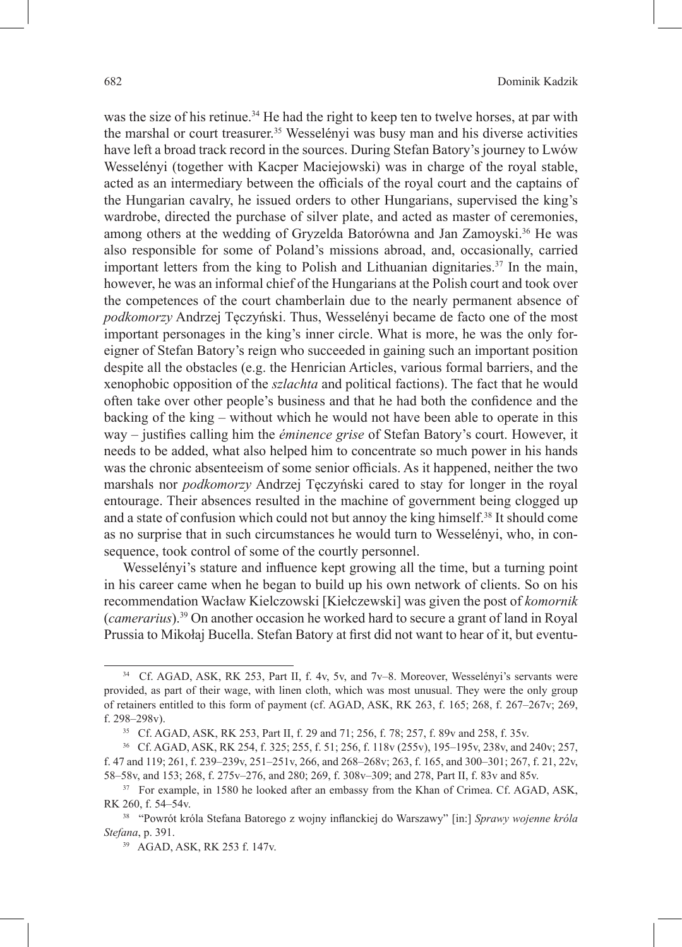was the size of his retinue.<sup>34</sup> He had the right to keep ten to twelve horses, at par with the marshal or court treasurer.<sup>35</sup> Wesselényi was busy man and his diverse activities have left a broad track record in the sources. During Stefan Batory's journey to Lwów Wesselényi (together with Kacper Maciejowski) was in charge of the royal stable, acted as an intermediary between the officials of the royal court and the captains of the Hungarian cavalry, he issued orders to other Hungarians, supervised the king's wardrobe, directed the purchase of silver plate, and acted as master of ceremonies, among others at the wedding of Gryzelda Batorówna and Jan Zamoyski.<sup>36</sup> He was also responsible for some of Poland's missions abroad, and, occasionally, carried important letters from the king to Polish and Lithuanian dignitaries.37 In the main, however, he was an informal chief of the Hungarians at the Polish court and took over the competences of the court chamberlain due to the nearly permanent absence of *podkomorzy* Andrzej Tęczyński. Thus, Wesselényi became de facto one of the most important personages in the king's inner circle. What is more, he was the only foreigner of Stefan Batory's reign who succeeded in gaining such an important position despite all the obstacles (e.g. the Henrician Articles, various formal barriers, and the xenophobic opposition of the *szlachta* and political factions). The fact that he would often take over other people's business and that he had both the confidence and the backing of the king – without which he would not have been able to operate in this way – justifies calling him the *éminence grise* of Stefan Batory's court. However, it needs to be added, what also helped him to concentrate so much power in his hands was the chronic absenteeism of some senior officials. As it happened, neither the two marshals nor *podkomorzy* Andrzej Tęczyński cared to stay for longer in the royal entourage. Their absences resulted in the machine of government being clogged up and a state of confusion which could not but annoy the king himself.<sup>38</sup> It should come as no surprise that in such circumstances he would turn to Wesselényi, who, in consequence, took control of some of the courtly personnel.

Wesselényi's stature and influence kept growing all the time, but a turning point in his career came when he began to build up his own network of clients. So on his recommendation Wacław Kielczowski [Kiełczewski] was given the post of *komornik* (*camerarius*).39 On another occasion he worked hard to secure a grant of land in Royal Prussia to Mikołaj Bucella. Stefan Batory at first did not want to hear of it, but eventu-

<sup>34</sup> Cf. AGAD, ASK, RK 253, Part II, f. 4v, 5v, and 7v–8. Moreover, Wesselényi's servants were provided, as part of their wage, with linen cloth, which was most unusual. They were the only group of retainers entitled to this form of payment (cf. AGAD, ASK, RK 263, f. 165; 268, f. 267–267v; 269, f. 298–298v).

<sup>35</sup> Cf. AGAD, ASK, RK 253, Part II, f. 29 and 71; 256, f. 78; 257, f. 89v and 258, f. 35v.

<sup>36</sup> Cf. AGAD, ASK, RK 254, f. 325; 255, f. 51; 256, f. 118v (255v), 195–195v, 238v, and 240v; 257, f. 47 and 119; 261, f. 239–239v, 251–251v, 266, and 268–268v; 263, f. 165, and 300–301; 267, f. 21, 22v, 58–58v, and 153; 268, f. 275v–276, and 280; 269, f. 308v–309; and 278, Part II, f. 83v and 85v.

<sup>&</sup>lt;sup>37</sup> For example, in 1580 he looked after an embassy from the Khan of Crimea. Cf. AGAD, ASK, RK 260, f. 54–54v.

<sup>38</sup> "Powrót króla Stefana Batorego z wojny inflanckiej do Warszawy" [in:] *Sprawy wojenne króla Stefana*, p. 391.

<sup>39</sup> AGAD, ASK, RK 253 f. 147v.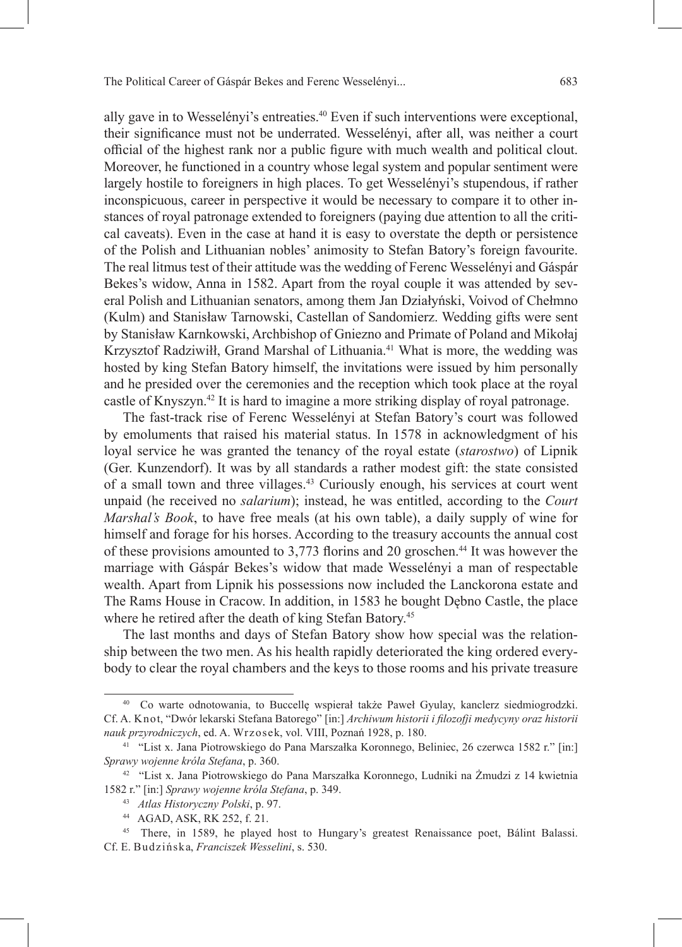ally gave in to Wesselényi's entreaties.<sup>40</sup> Even if such interventions were exceptional, their significance must not be underrated. Wesselényi, after all, was neither a court official of the highest rank nor a public figure with much wealth and political clout. Moreover, he functioned in a country whose legal system and popular sentiment were largely hostile to foreigners in high places. To get Wesselényi's stupendous, if rather inconspicuous, career in perspective it would be necessary to compare it to other instances of royal patronage extended to foreigners (paying due attention to all the critical caveats). Even in the case at hand it is easy to overstate the depth or persistence of the Polish and Lithuanian nobles' animosity to Stefan Batory's foreign favourite. The real litmus test of their attitude was the wedding of Ferenc Wesselényi and Gáspár Bekes's widow, Anna in 1582. Apart from the royal couple it was attended by several Polish and Lithuanian senators, among them Jan Działyński, Voivod of Chełmno (Kulm) and Stanisław Tarnowski, Castellan of Sandomierz. Wedding gifts were sent by Stanisław Karnkowski, Archbishop of Gniezno and Primate of Poland and Mikołaj Krzysztof Radziwiłł, Grand Marshal of Lithuania.<sup>41</sup> What is more, the wedding was hosted by king Stefan Batory himself, the invitations were issued by him personally and he presided over the ceremonies and the reception which took place at the royal castle of Knyszyn.42 It is hard to imagine a more striking display of royal patronage.

The fast-track rise of Ferenc Wesselényi at Stefan Batory's court was followed by emoluments that raised his material status. In 1578 in acknowledgment of his loyal service he was granted the tenancy of the royal estate (*starostwo*) of Lipnik (Ger. Kunzendorf). It was by all standards a rather modest gift: the state consisted of a small town and three villages.<sup>43</sup> Curiously enough, his services at court went unpaid (he received no *salarium*); instead, he was entitled, according to the *Court Marshal's Book*, to have free meals (at his own table), a daily supply of wine for himself and forage for his horses. According to the treasury accounts the annual cost of these provisions amounted to 3,773 florins and 20 groschen.<sup>44</sup> It was however the marriage with Gáspár Bekes's widow that made Wesselényi a man of respectable wealth. Apart from Lipnik his possessions now included the Lanckorona estate and The Rams House in Cracow. In addition, in 1583 he bought Dębno Castle, the place where he retired after the death of king Stefan Batory.<sup>45</sup>

The last months and days of Stefan Batory show how special was the relationship between the two men. As his health rapidly deteriorated the king ordered everybody to clear the royal chambers and the keys to those rooms and his private treasure

<sup>40</sup> Co warte odnotowania, to Buccellę wspierał także Paweł Gyulay, kanclerz siedmiogrodzki. Cf. A. Knot, "Dwór lekarski Stefana Batorego" [in:] *Archiwum historii i filozofji medycyny oraz historii nauk przyrodniczych*, ed. A. Wrzosek, vol. VIII, Poznań 1928, p. 180.

<sup>41</sup> "List x. Jana Piotrowskiego do Pana Marszałka Koronnego, Beliniec, 26 czerwca 1582 r." [in:] *Sprawy wojenne króla Stefana*, p. 360.

<sup>42</sup> "List x. Jana Piotrowskiego do Pana Marszałka Koronnego, Ludniki na Żmudzi z 14 kwietnia 1582 r." [in:] *Sprawy wojenne króla Stefana*, p. 349.

<sup>43</sup> *Atlas Historyczny Polski*, p. 97.

<sup>44</sup> AGAD, ASK, RK 252, f. 21.

<sup>45</sup> There, in 1589, he played host to Hungary's greatest Renaissance poet, Bálint Balassi. Cf. E. Budzińska, *Franciszek Wesselini*, s. 530.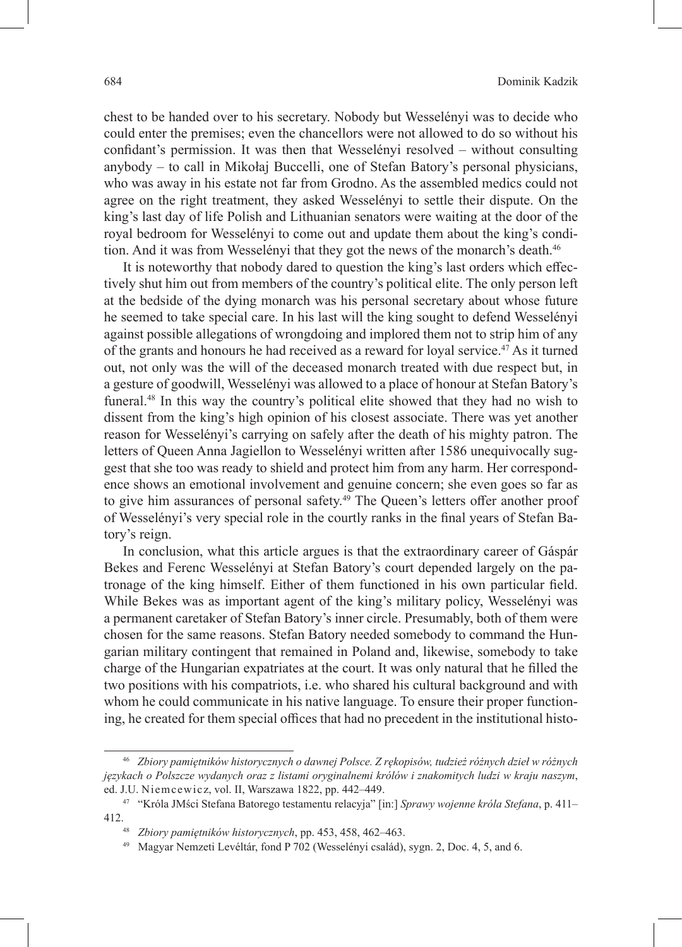chest to be handed over to his secretary. Nobody but Wesselényi was to decide who could enter the premises; even the chancellors were not allowed to do so without his confidant's permission. It was then that Wesselényi resolved – without consulting anybody – to call in Mikołaj Buccelli, one of Stefan Batory's personal physicians, who was away in his estate not far from Grodno. As the assembled medics could not agree on the right treatment, they asked Wesselényi to settle their dispute. On the king's last day of life Polish and Lithuanian senators were waiting at the door of the royal bedroom for Wesselényi to come out and update them about the king's condition. And it was from Wesselényi that they got the news of the monarch's death.<sup>46</sup>

It is noteworthy that nobody dared to question the king's last orders which effectively shut him out from members of the country's political elite. The only person left at the bedside of the dying monarch was his personal secretary about whose future he seemed to take special care. In his last will the king sought to defend Wesselényi against possible allegations of wrongdoing and implored them not to strip him of any of the grants and honours he had received as a reward for loyal service.<sup>47</sup> As it turned out, not only was the will of the deceased monarch treated with due respect but, in a gesture of goodwill, Wesselényi was allowed to a place of honour at Stefan Batory's funeral.<sup>48</sup> In this way the country's political elite showed that they had no wish to dissent from the king's high opinion of his closest associate. There was yet another reason for Wesselényi's carrying on safely after the death of his mighty patron. The letters of Queen Anna Jagiellon to Wesselényi written after 1586 unequivocally suggest that she too was ready to shield and protect him from any harm. Her correspondence shows an emotional involvement and genuine concern; she even goes so far as to give him assurances of personal safety.<sup>49</sup> The Queen's letters offer another proof of Wesselényi's very special role in the courtly ranks in the final years of Stefan Batory's reign.

In conclusion, what this article argues is that the extraordinary career of Gáspár Bekes and Ferenc Wesselényi at Stefan Batory's court depended largely on the patronage of the king himself. Either of them functioned in his own particular field. While Bekes was as important agent of the king's military policy, Wesselényi was a permanent caretaker of Stefan Batory's inner circle. Presumably, both of them were chosen for the same reasons. Stefan Batory needed somebody to command the Hungarian military contingent that remained in Poland and, likewise, somebody to take charge of the Hungarian expatriates at the court. It was only natural that he filled the two positions with his compatriots, i.e. who shared his cultural background and with whom he could communicate in his native language. To ensure their proper functioning, he created for them special offices that had no precedent in the institutional histo-

<sup>46</sup> *Zbiory pamiętników historycznych o dawnej Polsce. Z rękopisów, tudzież różnych dzieł w różnych językach o Polszcze wydanych oraz z listami oryginalnemi królów i znakomitych ludzi w kraju naszym*, ed. J.U. Niemcewicz, vol. II, Warszawa 1822, pp. 442–449.

<sup>47</sup> "Króla JMści Stefana Batorego testamentu relacyja" [in:] *Sprawy wojenne króla Stefana*, p. 411– 412.48 *Zbiory pamiętników historycznych*, pp. 453, 458, 462–463.

<sup>49</sup> Magyar Nemzeti Levéltár, fond P 702 (Wesselényi család), sygn. 2, Doc. 4, 5, and 6.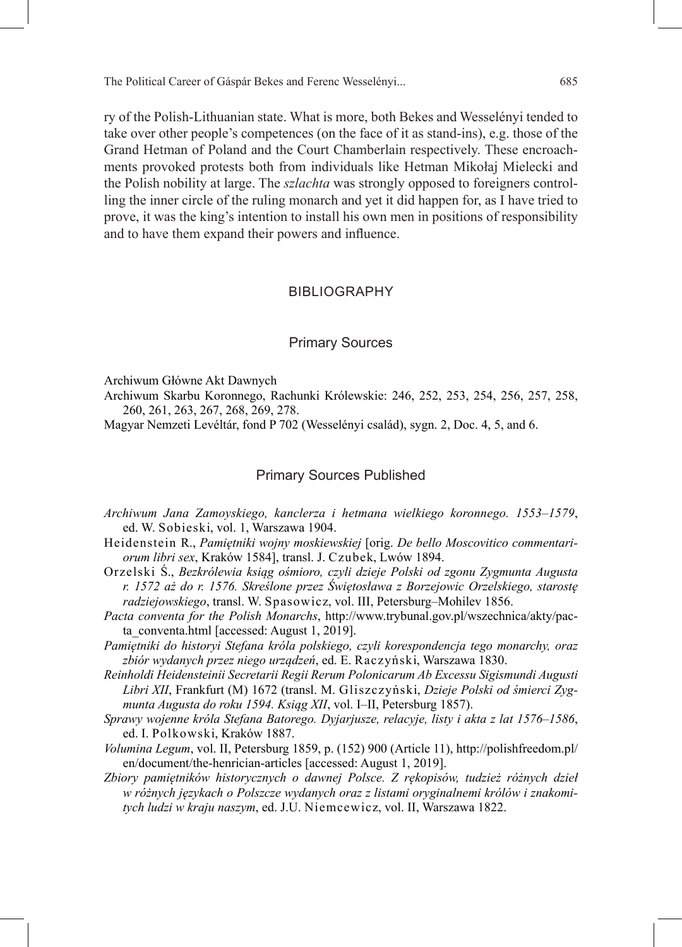ry of the Polish-Lithuanian state. What is more, both Bekes and Wesselényi tended to take over other people's competences (on the face of it as stand-ins), e.g. those of the Grand Hetman of Poland and the Court Chamberlain respectively. These encroachments provoked protests both from individuals like Hetman Mikołaj Mielecki and the Polish nobility at large. The *szlachta* was strongly opposed to foreigners controlling the inner circle of the ruling monarch and yet it did happen for, as I have tried to prove, it was the king's intention to install his own men in positions of responsibility and to have them expand their powers and influence.

#### BIBLIOGRAPHY

#### Primary Sources

Archiwum Główne Akt Dawnych

Archiwum Skarbu Koronnego, Rachunki Królewskie: 246, 252, 253, 254, 256, 257, 258, 260, 261, 263, 267, 268, 269, 278.

Magyar Nemzeti Levéltár, fond P 702 (Wesselényi család), sygn. 2, Doc. 4, 5, and 6.

#### Primary Sources Published

- *Archiwum Jana Zamoyskiego, kanclerza i hetmana wielkiego koronnego. 1553–1579*, ed. W. Sobieski, vol. 1, Warszawa 1904.
- Heidenstein R., *Pamiętniki wojny moskiewskiej* [orig. *De bello Moscovitico commentariorum libri sex*, Kraków 1584], transl. J. Czubek, Lwów 1894.
- Orzelski Ś., *Bezkrólewia ksiąg ośmioro, czyli dzieje Polski od zgonu Zygmunta Augusta r. 1572 aż do r. 1576. Skreślone przez Świętosława z Borzejowic Orzelskiego, starostę radziejowskiego*, transl. W. Spasowicz, vol. III, Petersburg–Mohilev 1856.
- *Pacta conventa for the Polish Monarchs*, http://www.trybunal.gov.pl/wszechnica/akty/pacta\_conventa.html [accessed: August 1, 2019].
- *Pamiętniki do historyi Stefana króla polskiego, czyli korespondencja tego monarchy, oraz zbiór wydanych przez niego urządzeń*, ed. E. Raczyński, Warszawa 1830.
- *Reinholdi Heidensteinii Secretarii Regii Rerum Polonicarum Ab Excessu Sigismundi Augusti Libri XII*, Frankfurt (M) 1672 (transl. M. Gliszczyński, *Dzieje Polski od śmierci Zygmunta Augusta do roku 1594. Ksiąg XII*, vol. I–II, Petersburg 1857).
- *Sprawy wojenne króla Stefana Batorego. Dyjarjusze, relacyje, listy i akta z lat 1576–1586*, ed. I. Polkowski, Kraków 1887.
- *Volumina Legum*, vol. II, Petersburg 1859, p. (152) 900 (Article 11), http://polishfreedom.pl/ en/document/the-henrician-articles [accessed: August 1, 2019].
- *Zbiory pamiętników historycznych o dawnej Polsce. Z rękopisów, tudzież różnych dzieł w różnych językach o Polszcze wydanych oraz z listami oryginalnemi królów i znakomitych ludzi w kraju naszym*, ed. J.U. Niemcewicz, vol. II, Warszawa 1822.